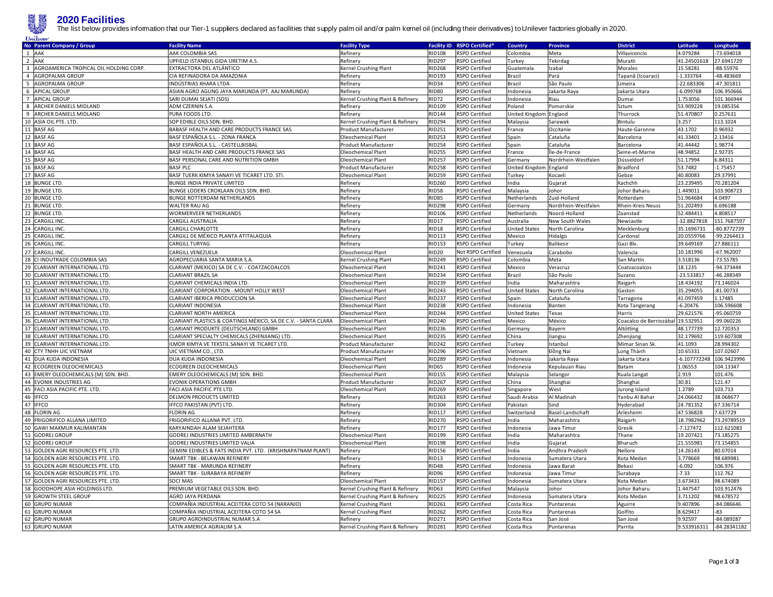

**2020 Facilities**<br>The list below provides information that our Tier-1 supplers declared as facilities that supply palm oil and/or palm kernel oil (including their derivatives) to Unilever factories globally in 2020.

|    | <b>No Parent Company / Group</b>         | <b>Facility Name</b>                                          | <b>Facility Type</b>             | <b>Facility ID</b> | <b>RSPO Certified</b>     | Country                | <b>Province</b>     | <b>District</b>                   | Latitude       | Longitude      |
|----|------------------------------------------|---------------------------------------------------------------|----------------------------------|--------------------|---------------------------|------------------------|---------------------|-----------------------------------|----------------|----------------|
|    | 1 AAK                                    | AAK COLOMBIA SAS                                              | Refinery                         | <b>RID108</b>      | RSPO Certified            | Colombia               | Meta                | Villavicencio                     | 4.079284       | -73.694018     |
|    | 2 AAK                                    | UPFIELD ISTANBUL GIDA URETIM A.S.                             | Refinery                         | <b>RID297</b>      | <b>RSPO Certified</b>     | Turkey                 | Tekirdag            | Muratlı                           | 41.24501618    | 27.6941729     |
|    | 3 AGROAMERICA TROPICAL OIL HOLDING CORP. | EXTRACTORA DEL ATLÁNTICO                                      | Kernel Crushing Plant            | <b>RID268</b>      | RSPO Certified            | Guatemala              | zabal               | Morales                           | 15.58281       | -88.55976      |
|    | 4 AGROPALMA GROUP                        | CIA REFINADORA DA AMAZONIA                                    | Refinery                         | <b>RID193</b>      | RSPO Certified            | Brazil                 | Pará                | Tapanã (Icoaraci)                 | $-1.333764$    | -48.483669     |
|    | 5 AGROPALMA GROUP                        | INDÚSTRIAS XHARA LTDA                                         | Refinery                         | <b>RID34</b>       | <b>RSPO Certified</b>     | Brazil                 | São Paulo           | Limeira                           | -22.683306     | $-47.301811$   |
|    | 6 APICAL GROUP                           | ASIAN AGRO AGUNG JAYA MARUNDA (PT. AAJ MARUNDA)               | Refinery                         | <b>RID80</b>       | <b>RSPO</b> Certified     | Indonesia              | Jakarta Raya        | Jakarta Utara                     | $-6.099768$    | 106.950666     |
|    | 7 APICAL GROUP                           | SARI DUMAI SEJATI (SDS)                                       | Kernel Crushing Plant & Refinery | <b>RID72</b>       | <b>RSPO Certified</b>     | Indonesia              | Riau                | Dumai                             | 1.753056       | 101.366944     |
|    | 8 ARCHER DANIELS MIDLAND                 | ADM CZERNIN S.A.                                              | Refinery                         | RID109             | RSPO Certified            | Poland                 | Pomorskie           | Sztum                             | 53.909228      | 19.085356      |
|    | 9 ARCHER DANIELS MIDLAND                 | PURA FOODS LTD.                                               | Refinery                         | <b>RID144</b>      | RSPO Certified            | United Kingdon         | England             | Thurrock                          | 51.470807      | 0.257631       |
|    | 10 ASIA OIL PTE. LTD.                    | SOP EDIBLE OILS SDN. BHD.                                     | Kernel Crushing Plant & Refinery | <b>RID294</b>      | RSPO Certified            | Malaysia               | Sarawak             | Bintulu                           | 3.257          | 113.1024       |
|    | 11 BASF AG                               | BABASF HEALTH AND CARE PRODUCTS FRANCE SAS                    |                                  | <b>RID251</b>      | RSPO Certified            |                        | Occitanie           |                                   | 43.1702        | 0.96932        |
|    |                                          | BASF ESPAÑOLA S.L. - ZONA FRANCA                              | Product Manufacturer             | <b>RID253</b>      | <b>RSPO Certified</b>     | France<br>Spain        | Cataluña            | Haute-Garonne                     | 41.33401       | 2.13416        |
|    | 12 BASF AG<br>13 BASF AG                 |                                                               | Oleochemical Plant               |                    |                           |                        |                     | Barcelona                         | 41.44442       | 1.98774        |
|    |                                          | BASF ESPAÑOLA S.L. - CASTELLBISBAL                            | Product Manufacturer             | <b>RID254</b>      | <b>RSPO Certified</b>     | Spain                  | Cataluña            | Barcelona                         | 48.94852       |                |
|    | 14 BASF AG                               | BASF HEALTH AND CARE PRODUCTS FRANCE SAS                      | Oleochemical Plant               | <b>RID255</b>      | RSPO Certified            | France                 | Île-de-France       | Seine-et-Marne                    |                | 2.92735        |
|    | 15 BASF AG                               | BASF PERSONAL CARE AND NUTRITION GMBH                         | Oleochemical Plant               | <b>RID257</b>      | RSPO Certified            | Germany                | Nordrhein-Westfalen | Düsseldorf                        | 51.17994       | 6.84311        |
|    | 16 BASF AG                               | <b>BASF PLC</b>                                               | Product Manufacturer             | <b>RID258</b>      | RSPO Certified            | United Kingdom England |                     | Bradford                          | 53.7482        | $-1.75457$     |
|    | 17 BASF AG                               | BASF TUERK KIMYA SANAYI VE TICARET LTD. STI.                  | Oleochemical Plant               | <b>RID259</b>      | <b>RSPO Certified</b>     | Turkey                 | Kocaeli             | Gebze                             | 40.80083       | 29.37991       |
|    | 18 BUNGE LTD                             | BUNGE INDIA PRIVATE LIMITED                                   | Refinery                         | <b>RID260</b>      | <b>RSPO Certified</b>     | India                  | Gujarat             | Kachchh                           | 23.239495      | 70.281204      |
|    | 19 BUNGE LTD                             | BUNGE LODERS CROKLAAN OILS SDN. BHD.                          | Refinery                         | <b>RID58</b>       | <b>RSPO Certified</b>     | Malaysia               | Johor               | Johor Baharu                      | 1.449011       | 103.908723     |
|    | 20 BUNGE LTD.                            | BUNGE ROTTERDAM NETHERLANDS                                   | Refinery                         | <b>RID85</b>       | RSPO Certified            | Netherlands            | Zuid-Holland        | Rotterdam                         | 51.964684      | 4.0497         |
|    | 21 BUNGE LTD.                            | WALTER RAU AG                                                 | Refinery                         | <b>RID298</b>      | RSPO Certified            | Germany                | Nordrhein-Westfalen | Rhein-Kreis Neuss                 | 51.202493      | 6.696188       |
|    | 22 BUNGE LTD.                            | WORMERVEER NETHERLANDS                                        | Refinery                         | <b>RID106</b>      | <b>RSPO Certified</b>     | Netherlands            | Noord-Holland       | Zaanstad                          | 52.484411      | 4.808517       |
|    | 23 CARGILL INC                           | <b>CARGILL AUSTRALIA</b>                                      | Refinery                         | <b>RID17</b>       | <b>RSPO Certified</b>     | Australia              | New South Wales     | Newcastle                         | -32.8827818    | 151.7687597    |
| 24 | <b>CARGILL INC</b>                       | CARGILL CHARLOTTE                                             | Refinery                         | <b>RID18</b>       | <b>RSPO Certified</b>     | <b>United States</b>   | North Carolina      | Mecklenbur                        | 35.1696731     | -80.8772739    |
|    | 25 CARGILL INC                           | CARGILL DE MÉXICO PLANTA ATITALAQUIA                          | Refinery                         | RID113             | RSPO Certified            | Mexico                 | Hidalgo             | Cardonal                          | 20.0559766     | -99.2264413    |
|    | 26 CARGILL INC                           | CARGILL TURYAG                                                | Refinery                         | <b>RID153</b>      | RSPO Certified            | Turkey                 | Balikesir           | Gazi Blv                          | 39.649169      | 27.886111      |
|    | 27 CARGILL INC                           | CARGILL VENEZUELA                                             | Oleochemical Plant               | RID <sub>20</sub>  | <b>Not RSPO Certified</b> | Venezuela              | Carabobo            | Valencia                          | 10.181996      | $-67.962007$   |
|    | 28 CI INDUTRADE COLOMBIA SAS             | AGROPECUARIA SANTA MARIA S.A.                                 | Kernel Crushing Plant            | <b>RID249</b>      | RSPO Certified            | Colombia               | Meta                | San Martín                        | 3.518136       | $-73.55785$    |
|    | 29 CLARIANT INTERNATIONAL LTD            | CLARIANT (MEXICO) SA DE C.V. - COATZACOALCOS                  |                                  | <b>RID241</b>      | <b>RSPO Certified</b>     | Mexico                 | Veracruz            |                                   | 18.1235        | -94.373444     |
|    |                                          |                                                               | Oleochemical Plant               |                    |                           |                        |                     | Coatzacoalcos                     |                |                |
|    | 30 CLARIANT INTERNATIONAL LTD.           | CLARIANT BRAZIL SA                                            | Oleochemical Plant               | <b>RID234</b>      | RSPO Certified            | Brazil                 | São Paulo           | Suzano                            | -23.533817     | -46.288349     |
|    | 31 CLARIANT INTERNATIONAL LTD.           | CLARIANT CHEMICALS INDIA LTD.                                 | Oleochemical Plant               | <b>RID239</b>      | <b>RSPO Certified</b>     | India                  | Maharashtra         | Raigarh                           | 18.434192      | 73.146024      |
| 32 | CLARIANT INTERNATIONAL LTD.              | CLARIANT CORPORATION - MOUNT HOLLY WEST                       | Oleochemical Plant               | RID243             | RSPO Certified            | <b>United States</b>   | North Carolina      | Gaston                            | 35.294055      | $-81.00733$    |
|    | 33 CLARIANT INTERNATIONAL LTD.           | CLARIANT IBERICA PRODUCCION SA                                | Oleochemical Plant               | <b>RID237</b>      | <b>RSPO Certified</b>     | Spain                  | Cataluña            | Tarragona                         | 41.097459      | 1.17485        |
|    | 34 CLARIANT INTERNATIONAL LTD.           | <b>CLARIANT INDONESIA</b>                                     | Oleochemical Plant               | <b>RID238</b>      | RSPO Certified            | Indonesia              | Banten              | Kota Tangerang                    | $-6.20476$     | 106.596608     |
| 35 | CLARIANT INTERNATIONAL LTD               | CLARIANT NORTH AMERICA                                        | Oleochemical Plant               | <b>RID244</b>      | RSPO Certified            | <b>United States</b>   | Texas               | Harris                            | 29.621576      | -95.060759     |
|    | 36 CLARIANT INTERNATIONAL LTD            | CLARIANT PLASTICS & COATINGS MÉXICO, SA DE C.V. - SANTA CLARA | Oleochemical Plant               | <b>RID240</b>      | RSPO Certified            | Mexico                 | México              | Coacalco de Berriozábal 19.532951 |                | -99.060226     |
|    | 37 CLARIANT INTERNATIONAL LTD.           | CLARIANT PRODUKTE (DEUTSCHLAND) GMBH                          | Oleochemical Plant               | <b>RID236</b>      | RSPO Certified            | Germany                | Bayern              | Altötting                         | 48.177739      | 12.720353      |
|    | 38 CLARIANT INTERNATIONAL LTD.           | CLARIANT SPECIALTY CHEMICALS (ZHENJIANG) LTD.                 | Oleochemical Plant               | <b>RID235</b>      | <b>RSPO Certified</b>     | China                  | Jiangsu             | Zhenjiang                         | 32.179692      | 119.607308     |
|    | 39 CLARIANT INTERNATIONAL LTD.           | ILMOR KIMYA VE TEKSTIL SANAYI VE TICARET LTD.                 | Product Manufacturer             | <b>RID242</b>      | RSPO Certified            | Turkey                 | Istanbul            | Mimar Sinan Sk.                   | 41.1093        | 28.994302      |
|    | 40 CTY TNHH UIC VIETNAM                  | UIC VIETNAM CO., LTD.                                         | Product Manufacturer             | <b>RID296</b>      | RSPO Certified            | Vietnam                | Đồng Nai            | Long Thành                        | 10.65331       | 107.02607      |
|    | 41   DUA KUDA INDONESIA                  | DUA KUDA INDONESIA                                            | Oleochemical Plant               | <b>RID289</b>      | <b>RSPO Certified</b>     | Indonesia              | Jakarta Raya        | Jakarta Utara                     | $-6.107772248$ | 106.9423996    |
|    | 42 ECOGREEN OLEOCHEMICALS                | ECOGREEN OLEOCHEMICALS                                        | Oleochemical Plant               | <b>RID65</b>       | RSPO Certified            | Indonesia              | Kepulauan Riau      | Batam                             | 1.06553        | 104.13347      |
|    | 43 EMERY OLEOCHEMICALS (M) SDN. BHD.     | EMERY OLEOCHEMICALS (M) SDN. BHD.                             | Oleochemical Plant               | <b>RID155</b>      | <b>RSPO Certified</b>     | Malaysia               | Selangor            | Kuala Langat                      | 2.919          | 101.476        |
|    | 44 EVONIK INDUSTRIES AG                  | <b>EVONIK OPERATIONS GMBH</b>                                 | <b>Product Manufacturer</b>      | <b>RID267</b>      | <b>RSPO Certified</b>     | China                  | Shanghai            | Shanghai                          | 30.81          | 121.47         |
|    | 45 FACI ASIA PACIFIC PTE. LTD.           | FACI ASIA PACIFIC PTE LTD.                                    | Oleochemical Plant               | <b>RID269</b>      | <b>RSPO Certified</b>     | Singapore              | West                | Jurong Island                     | 1.2789         | 103.713        |
|    | 46 IFFCO                                 | <b>DELMON PRODUCTS LIMITED</b>                                | Refinery                         | <b>RID263</b>      | RSPO Certified            | Saudi Arabia           | Al Madinah          | Yanbu Al Bahar                    | 24.066432      | 38.068677      |
|    | 47 IFFCO                                 | IFFCO PAKISTAN (PVT) LTD.                                     | Refinery                         | <b>RID304</b>      | RSPO Certified            | Pakistan               | Sind                | Hyderabad                         | 24.781352      | 67.336714      |
|    | 48 FLORIN AG                             | <b>FLORIN AG</b>                                              | Refinery                         | <b>RID117</b>      | <b>RSPO Certified</b>     | Switzerland            | Basel-Landschaft    | Arlesheim                         | 47.536828      | 7.637729       |
| 49 | <b>FRIGORIFICO ALLANA LIMITED</b>        | FRIGORIFICO ALLANA PVT. LTD.                                  |                                  | <b>RID270</b>      |                           | India                  |                     |                                   | 18.7982962     |                |
|    |                                          |                                                               | Refinery                         |                    | RSPO Certified            |                        | Maharashtra         | Raigarh                           |                | 73.29789519    |
| 50 | <b>GAWI MAKMUR KALIMANTAN</b>            | KARYAINDAH ALAM SEJAHTERA                                     | Refinery                         | <b>RID177</b>      | <b>RSPO Certified</b>     | Indonesia              | lawa Timur          | Gresik                            | $-7.127472$    | 112.621083     |
|    | 51 GODREJ GROUP                          | GODREJ INDUSTRIES LIMITED AMBERNATH                           | Oleochemical Plant               | RID199             | RSPO Certified            | India                  | Maharashtra         | Thane                             | 19.207421      | 73.185275      |
|    | 52 GODREJ GROUP                          | GODREJ INDUSTRIES LIMITED VALIA                               | Oleochemical Plant               | <b>RID198</b>      | RSPO Certified            | India                  | Gujarat             | Bharuch                           | 21.555981      | 73.154855      |
|    | 53 GOLDEN AGRI RESOURCES PTE. LTD        | GEMINI EDIBLES & FATS INDIA PVT. LTD. (KRISHNAPATNAM PLANT)   | Refinery                         | <b>RID156</b>      | RSPO Certified            | India                  | Andhra Pradesh      | Nellore                           | 14.26143       | 80.07014       |
|    | 54 GOLDEN AGRI RESOURCES PTE. LTD        | SMART TBK - BELAWAN REFINERY                                  | Refinery                         | RID13              | RSPO Certified            | Indonesia              | Sumatera Utara      | Kota Medan                        | 3.778669       | 98.689981      |
|    | 55 GOLDEN AGRI RESOURCES PTE. LTD.       | SMART TBK - MARUNDA REFINERY                                  | Refinery                         | <b>RID48</b>       | <b>RSPO Certified</b>     | Indonesia              | Jawa Barat          | Bekasi                            | $-6.092$       | 106.976        |
|    | 56 GOLDEN AGRI RESOURCES PTE. LTD        | SMART TBK - SURABAYA REFINERY                                 | Refinery                         | RID96              | <b>RSPO Certified</b>     | Indonesia              | lawa Timur          | Surabaya                          | $-7.33$        | 112.762        |
|    | 57 GOLDEN AGRI RESOURCES PTE. LTD        | <b>SOCI MAS</b>                                               | Oleochemical Plant               | <b>RID157</b>      | RSPO Certified            | Indonesia              | Sumatera Utara      | Kota Medan                        | 3.673431       | 98.674089      |
|    | 58 GOODHOPE ASIA HOLDINGS LTD            | PREMIUM VEGETABLE OILS SDN. BHD.                              | Kernel Crushing Plant & Refinery | <b>RID63</b>       | RSPO Certified            | Malaysia               | Johor               | Johor Baharu                      | 1.447547       | 103.912476     |
|    | 59 GROWTH STEEL GROUP                    | AGRO JAYA PERDANA                                             | Kernel Crushing Plant & Refinery | <b>RID225</b>      | <b>RSPO Certified</b>     | Indonesia              | Sumatera Utara      | Kota Medan                        | 3.711202       | 98.678572      |
|    | 60 GRUPO NUMAR                           | COMPAÑIA INDUSTRIAL ACEITERA COTO 54 (NARANJO)                | Kernel Crushing Plant            | RID261             | RSPO Certified            | Costa Rica             | Puntarenas          | Aguirre                           | 9.407896       | $-84.086646$   |
|    | 61 GRUPO NUMAR                           | COMPAÑIA INDUSTRIAL ACEITERA COTO 54 SA                       | Kernel Crushing Plant            | <b>RID262</b>      | <b>RSPO Certified</b>     | Costa Rica             | Puntarenas          | Golfito                           | 8.629417       | $-83-$         |
|    | 62 GRUPO NUMAR                           | GRUPO AGROINDUSTRIAL NUMAR S.A                                | Refinery                         | <b>RID271</b>      | <b>RSPO Certified</b>     | Costa Rica             | San José            | San José                          | 9.92597        | $-84.089287$   |
|    | 63 GRUPO NUMAR                           | LATIN AMERICA AGRIALIM S.A                                    | Kernel Crushing Plant & Refinery | <b>RID281</b>      | RSPO Certified            | Costa Rica             | Puntarenas          | Parrita                           | 9.533916311    | $-84.28341182$ |
|    |                                          |                                                               |                                  |                    |                           |                        |                     |                                   |                |                |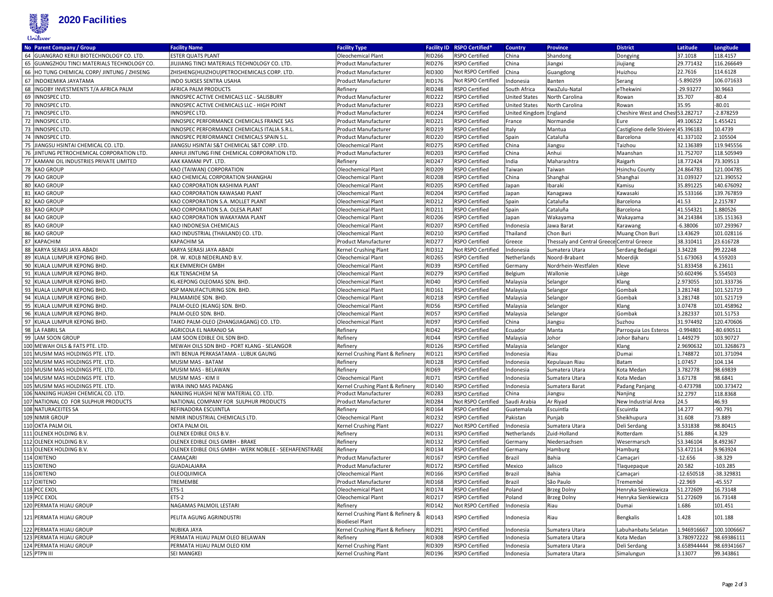

| No Parent Company / Group                   | <b>Facility Name</b>                                   | <b>Facility Type</b>                                         |               | Facility ID RSPO Certified* | <b>Country</b>         | <b>Province</b>                            | <b>District</b>                      | Latitude     | Longitude    |
|---------------------------------------------|--------------------------------------------------------|--------------------------------------------------------------|---------------|-----------------------------|------------------------|--------------------------------------------|--------------------------------------|--------------|--------------|
| 64 GUANGRAO KERUI BIOTECHNOLOGY CO. LTD.    | <b>ESTER QUATS PLANT</b>                               | Oleochemical Plant                                           | <b>RID266</b> | RSPO Certified              | China                  | Shandong                                   | Dongying                             | 37.1018      | 118.4157     |
| 65 GUANGZHOU TINCI MATERIALS TECHNOLOGY CO. | JIUJIANG TINCI MATERIALS TECHNOLOGY CO. LTD.           | Product Manufacturer                                         | <b>RID276</b> | RSPO Certified              | China                  | Jiangxi                                    | Jiujiang                             | 29.771432    | 116.266649   |
| 66 HO TUNG CHEMICAL CORP/ JINTUNG / ZHISENG | ZHISHENG(HUIZHOU)PETROCHEMICALS CORP. LTD.             | Product Manufacturer                                         | <b>RID300</b> | Not RSPO Certified          | China                  | Guangdong                                  | Huizhou                              | 22.7616      | 114.6128     |
| 67 INDOKEMIKA JAYATAMA                      | INDO SUKSES SENTRA USAHA                               | Product Manufacturer                                         | <b>RID176</b> | Not RSPO Certified          | ndonesia               | Banten                                     | Serang                               | $-5.890259$  | 106.071633   |
| 68  INGOBY INVESTMENTS T/A AFRICA PALM      | AFRICA PALM PRODUCTS                                   | Refinery                                                     | <b>RID248</b> | <b>RSPO Certified</b>       | South Africa           | KwaZulu-Natal                              | eThekwini                            | -29.93277    | 30.9663      |
| 69 INNOSPEC LTD.                            | INNOSPEC ACTIVE CHEMICALS LLC - SALISBURY              | Product Manufacturer                                         | <b>RID222</b> | <b>RSPO Certified</b>       | United States          | North Carolina                             | Rowan                                | 35.707       | $-80.4$      |
| 70 INNOSPEC LTD.                            | INNOSPEC ACTIVE CHEMICALS LLC - HIGH POINT             | Product Manufacturer                                         | <b>RID223</b> | RSPO Certified              | <b>United States</b>   | North Carolina                             | Rowan                                | 35.95        | $-80.01$     |
| 71 INNOSPEC LTD.                            | INNOSPEC LTD.                                          | Product Manufacturer                                         | <b>RID224</b> | <b>RSPO Certified</b>       | United Kingdom England |                                            | Cheshire West and Chest 53.282717    |              | $-2.878259$  |
| 72 INNOSPEC LTD.                            | INNOSPEC PERFORMANCE CHEMICALS FRANCE SAS              | Product Manufacturer                                         | <b>RID221</b> | <b>RSPO Certified</b>       | France                 | Normandie                                  | Eure                                 | 49.106522    | 1.455421     |
| 73 INNOSPEC LTD.                            | INNOSPEC PERFORMANCE CHEMICALS ITALIA S.R.L            | Product Manufacturer                                         | <b>RID219</b> | RSPO Certified              | Italy                  | Mantua                                     | Castiglione delle Stiviere 45.396183 |              | 10.4739      |
| 74 INNOSPEC LTD                             | INNOSPEC PERFORMANCE CHEMICALS SPAIN S.L               | Product Manufacturer                                         | <b>RID220</b> | RSPO Certified              | Spain                  | Cataluña                                   | Barcelona                            | 41.337102    | 2.105504     |
| 75 JIANGSU HSINTAI CHEMICAL CO. LTD.        | JIANGSU HSINTAI S&T CHEMICAL S&T CORP. LTD.            | Oleochemical Plant                                           | <b>RID275</b> | <b>RSPO Certified</b>       | China                  | Jiangsu                                    | Taizhou                              | 32.136389    | 119.945556   |
| 76 JINTUNG PETROCHEMICAL CORPORATION LTD.   | ANHUI JINTUNG FINE CHEMICAL CORPORATION LTD.           | Product Manufacturer                                         | <b>RID203</b> | RSPO Certified              | China                  | Anhui                                      | Maanshan                             | 31.752707    | 118.505949   |
| 77 KAMANI OIL INDUSTRIES PRIVATE LIMITED    | AAK KAMANI PVT. LTD.                                   | Refinery                                                     | <b>RID247</b> | RSPO Certified              | India                  | Maharashtra                                | Raigarh                              | 18.772424    | 73.309513    |
| 78 KAO GROUP                                | KAO (TAIWAN) CORPORATION                               | Oleochemical Plant                                           | <b>RID209</b> | <b>RSPO Certified</b>       | Taiwan                 | Taiwan                                     | <b>Hsinchu County</b>                | 24.864783    | 121.004785   |
| 79 KAO GROUP                                | KAO CHEMICAL CORPORATION SHANGHAI                      | Oleochemical Plant                                           | <b>RID208</b> | RSPO Certified              | China                  | Shanghai                                   | Shanghai                             | 31.039327    | 121.390552   |
| 80 KAO GROUP                                | KAO CORPORATION KASHIMA PLANT                          | Oleochemical Plant                                           | <b>RID205</b> | RSPO Certified              | Japan                  | Ibaraki                                    | Kamisu                               | 35.891225    | 140.676092   |
| 81 KAO GROUP                                | KAO CORPORATION KAWASAKI PLANT                         | Oleochemical Plant                                           | <b>RID204</b> | RSPO Certified              | Japan                  | Kanagawa                                   | Kawasaki                             | 35.533166    | 139.767859   |
| 82 KAO GROUP                                | KAO CORPORATION S.A. MOLLET PLANT                      | Oleochemical Plant                                           | <b>RID212</b> | RSPO Certified              | Spain                  | Cataluña                                   | Barcelona                            | 41.53        | 2.215787     |
| 83 KAO GROUP                                | KAO CORPORATION S.A. OLESA PLANT                       | Oleochemical Plant                                           | <b>RID211</b> | <b>RSPO Certified</b>       | Spain                  | Cataluña                                   | Barcelona                            | 41.554321    | 1.880526     |
| 84 KAO GROUP                                | KAO CORPORATION WAKAYAMA PLANT                         | Oleochemical Plant                                           | <b>RID206</b> | RSPO Certified              | Japan                  | Wakayama                                   | Wakayama                             | 34.214384    | 135.151363   |
| 85 KAO GROUP                                | KAO INDONESIA CHEMICALS                                | Oleochemical Plant                                           | <b>RID207</b> | RSPO Certified              | Indonesia              | Jawa Barat                                 | Karawang                             | $-6.38006$   | 107.293967   |
| 86 KAO GROUP                                | KAO INDUSTRIAL (THAILAND) CO. LTD.                     | Oleochemical Plant                                           | <b>RID210</b> | <b>RSPO Certified</b>       | Thailand               | Chon Buri                                  | Muang Chon Buri                      | 13.43629     | 101.028116   |
| 87 KAPACHIM                                 | <b>KAPACHIM SA</b>                                     | Product Manufacturer                                         | <b>RID277</b> | RSPO Certified              | Greece                 | Thessaly and Central Greece Central Greece |                                      | 38.310411    | 23.616728    |
| 88 KARYA SERASI JAYA ABADI                  | KARYA SERASI JAYA ABADI                                | Kernel Crushing Plant                                        | <b>RID312</b> | Not RSPO Certified          | Indonesia              | Sumatera Utara                             | Serdang Bedagai                      | 3.34228      | 99.22248     |
| 89 KUALA LUMPUR KEPONG BHD.                 | DR. W. KOLB NEDERLAND B.V.                             | Oleochemical Plant                                           | <b>RID265</b> | RSPO Certified              | Netherlands            | Noord-Brabant                              | Moerdijk                             | 51.673063    | 4.559203     |
| 90 KUALA LUMPUR KEPONG BHD.                 | <b>KLK EMMERICH GMBH</b>                               | Oleochemical Plant                                           | <b>RID39</b>  | RSPO Certified              | Germany                | Nordrhein-Westfalen                        | Kleve                                | 51.833458    | 6.23611      |
| 91 KUALA LUMPUR KEPONG BHD.                 | <b>KLK TENSACHEM SA</b>                                | Oleochemical Plant                                           | <b>RID279</b> | RSPO Certified              | Belgium                | Wallonie                                   | Liège                                | 50.602496    | 5.554503     |
| 92 KUALA LUMPUR KEPONG BHD.                 | KL-KEPONG OLEOMAS SDN. BHD.                            | Oleochemical Plant                                           | <b>RID40</b>  | RSPO Certified              | Malaysia               | Selangor                                   | Klang                                | 2.973055     | 101.333736   |
| 93 KUALA LUMPUR KEPONG BHD.                 | KSP MANUFACTURING SDN. BHD.                            | Oleochemical Plant                                           | <b>RID161</b> | RSPO Certified              | Malaysia               | Selangor                                   | Gombak                               | 3.281748     | 101.521719   |
| 94 KUALA LUMPUR KEPONG BHD                  | PALMAMIDE SDN. BHD.                                    | Oleochemical Plant                                           | <b>RID218</b> | RSPO Certified              | Malaysia               | Selangor                                   | Gombak                               | 3.281748     | 101.521719   |
| 95 KUALA LUMPUR KEPONG BHD.                 | PALM-OLEO (KLANG) SDN. BHD.                            | Oleochemical Plant                                           | <b>RID56</b>  | RSPO Certified              | Malaysia               | Selangor                                   | Klang                                | 3.07478      | 101.458962   |
| 96 KUALA LUMPUR KEPONG BHD.                 | PALM-OLEO SDN. BHD.                                    | Oleochemical Plant                                           | <b>RID57</b>  | RSPO Certified              | Malaysia               | Selangor                                   | Gombak                               | 3.282337     | 101.51753    |
| 97 KUALA LUMPUR KEPONG BHD                  | TAIKO PALM-OLEO (ZHANGJIAGANG) CO. LTD.                | Oleochemical Plant                                           | RID97         | RSPO Certified              | China                  | Jiangsu                                    | Suzhou                               | 31.974492    | 120.470606   |
| 98 LA FABRIL SA                             | AGRICOLA EL NARANJO SA                                 | Refinery                                                     | <b>RID42</b>  | RSPO Certified              | Ecuador                | Manta                                      | Parroquia Los Esteros                | $-0.994801$  | $-80.690511$ |
| 99 LAM SOON GROUP                           | LAM SOON EDIBLE OIL SDN BHD.                           | Refinery                                                     | <b>RID44</b>  | RSPO Certified              | Malaysia               | Johor                                      | Johor Baharu                         | 1.449279     | 103.90727    |
| 100 MEWAH OILS & FATS PTE. LTD.             | MEWAH OILS SDN BHD - PORT KLANG - SELANGOR             | Refinery                                                     | <b>RID126</b> | <b>RSPO Certified</b>       | Malaysia               | Selangor                                   | Klang                                | 2.9690632    | 101.3268673  |
| 101 MUSIM MAS HOLDINGS PTE. LTD.            | INTI BENUA PERKASATAMA - LUBUK GAUNG                   | Kernel Crushing Plant & Refinery                             | <b>RID121</b> | RSPO Certified              | Indonesia              | Riau                                       | Dumai                                | 1.748872     | 101.371094   |
| 102 MUSIM MAS HOLDINGS PTE. LTD.            | MUSIM MAS - BATAM                                      | Refinery                                                     | <b>RID128</b> | <b>RSPO Certified</b>       | Indonesia              | Kepulauan Riau                             | Batam                                | 1.07457      | 104.134      |
| 103 MUSIM MAS HOLDINGS PTE. LTD.            | MUSIM MAS - BELAWAN                                    | Refinery                                                     | <b>RID69</b>  | RSPO Certified              | Indonesia              | Sumatera Utara                             | Kota Medan                           | 3.782778     | 98.69839     |
| 104 MUSIM MAS HOLDINGS PTE. LTD.            | MUSIM MAS - KIM II                                     | Oleochemical Plant                                           | <b>RID71</b>  | RSPO Certified              | Indonesia              | Sumatera Utara                             | Kota Medan                           | 3.67178      | 98.6841      |
| 105 MUSIM MAS HOLDINGS PTE. LTD.            | WIRA INNO MAS PADANG                                   | Kernel Crushing Plant & Refinery                             | <b>RID140</b> | RSPO Certified              | Indonesia              | Sumatera Barat                             | Padang Panjang                       | $-0.473798$  | 100.373472   |
| 106 NANJING HUASHI CHEMICAL CO. LTD.        | NANJING HUASHI NEW MATERIAL CO. LTD.                   | Product Manufacturer                                         | <b>RID283</b> | <b>RSPO Certified</b>       | China                  | Jiangsu                                    | Nanjing                              | 32.2797      | 118.8368     |
| 107 NATIONAL CO FOR SULPHUR PRODUCTS        | NATIONAL COMPANY FOR SULPHUR PRODUCTS                  | Product Manufacturer                                         | <b>RID284</b> | Not RSPO Certified          | Saudi Arabia           | Ar Riyad                                   | New Industrial Area                  | 24.5         | 46.93        |
| 108 NATURACEITES SA                         | REFINADORA ESCUINTLA                                   | Refinery                                                     | <b>RID164</b> | RSPO Certified              | Guatemala              | Escuintla                                  | Escuintla                            | 14.277       | $-90.791$    |
| 109 NIMIR GROUP                             | NIMIR INDUSTRIAL CHEMICALS LTD.                        | Oleochemical Plant                                           | <b>RID232</b> | RSPO Certified              | Pakistan               | Punjab                                     | Sheikhupura                          | 31.608       | 73.889       |
| 110 OKTA PALM OIL                           | OKTA PALM OIL                                          | Kernel Crushing Plant                                        | <b>RID227</b> | Not RSPO Certified          | Indonesia              | Sumatera Utara                             | Deli Serdang                         | 3.531838     | 98.80415     |
| 111 OLENEX HOLDING B.V.                     | OLENEX EDIBLE OILS B.V.                                | Refinery                                                     | <b>RID131</b> | RSPO Certified              | Netherlands            | Zuid-Holland                               | Rotterdam                            | 51.886       | 4.329        |
| 112 OLENEX HOLDING B.V.                     | OLENEX EDIBLE OILS GMBH - BRAKE                        | Refinery                                                     | <b>RID132</b> | RSPO Certified              | Germany                | Niedersachsen                              | Wesermarsch                          | 53.346104    | 8.492367     |
| 113 OLENEX HOLDING B.V.                     | OLENEX EDIBLE OILS GMBH - WERK NOBLEE - SEEHAFENSTRAßE | Refinery                                                     | <b>RID134</b> | RSPO Certified              | Germany                | Hamburg                                    | Hamburg                              | 53.472114    | 9.963924     |
| 114 OXITENO                                 | CAMAÇARI                                               | Product Manufacturer                                         | <b>RID167</b> | RSPO Certified              | Brazil                 | Bahia                                      | Camaçari                             | $-12.656$    | $-38.329$    |
| 115 OXITENO                                 | GUADALAJARA                                            | Product Manufacturer                                         | <b>RID172</b> | RSPO Certified              | Mexico                 | Jalisco                                    | Tlaquepaque                          | 20.582       | $-103.285$   |
| 116 OXITENO                                 | OLEOQUIMICA                                            | Oleochemical Plant                                           | <b>RID166</b> | RSPO Certified              | Brazil                 | Bahia                                      | Camaçari                             | $-12.650518$ | -38.329831   |
| 117 OXITENO                                 | TREMEMBE                                               | Product Manufacturer                                         | <b>RID168</b> | RSPO Certified              | Brazil                 | São Paulo                                  | Tremembé                             | $-22.969$    | $-45.557$    |
| 118 PCC EXOL                                | ETS-1                                                  | Oleochemical Plant                                           | <b>RID174</b> | RSPO Certified              | Poland                 | <b>Brzeg Dolny</b>                         | Henryka Sienkiewicza                 | 51.272609    | 16.73148     |
| 119 PCC EXOL                                | $ETS-2$                                                | Oleochemical Plant                                           | <b>RID217</b> | RSPO Certified              | Poland                 | <b>Brzeg Dolny</b>                         | Henryka Sienkiewicza                 | 51.272609    | 16.73148     |
| 120 PERMATA HIJAU GROUP                     | NAGAMAS PALMOIL LESTARI                                | Refinery                                                     | <b>RID142</b> | Not RSPO Certified          | Indonesia              | Riau                                       | Dumai                                | 1.686        | 101.451      |
| 121 PERMATA HIJAU GROUP                     | PELITA AGUNG AGRINDUSTRI                               | Kernel Crushing Plant & Refinery &<br><b>Biodiesel Plant</b> | <b>RID143</b> | RSPO Certified              | Indonesia              | Riau                                       | Bengkalis                            | 1.428        | 101.188      |
| 122 PERMATA HIJAU GROUP                     | NUBIKA JAYA                                            | Kernel Crushing Plant & Refinery                             | <b>RID291</b> | RSPO Certified              | Indonesia              | Sumatera Utara                             | Labuhanbatu Selatan                  | .946916667   | 100.1006667  |
| 123 PERMATA HIJAU GROUP                     | PERMATA HIJAU PALM OLEO BELAWAN                        | Refinery                                                     | <b>RID308</b> | RSPO Certified              | Indonesia              | Sumatera Utara                             | Kota Medan                           | 3.780972222  | 98.69386111  |
| 124 PERMATA HIJAU GROUP                     | PERMATA HIJAU PALM OLEO KIM                            | Kernel Crushing Plant                                        | <b>RID309</b> | RSPO Certified              | Indonesia              | Sumatera Utara                             | Deli Serdang                         | 3.658944444  | 98.69341667  |
| 125 PTPN III                                | <b>SEI MANGKEI</b>                                     | Kernel Crushing Plant                                        | <b>RID196</b> | RSPO Certified              | Indonesia              | Sumatera Utara                             | Simalungun                           | 3.13077      | 99.343861    |
|                                             |                                                        |                                                              |               |                             |                        |                                            |                                      |              |              |